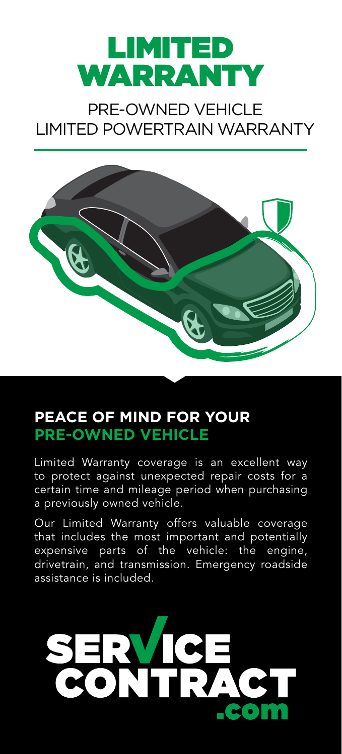

## PRE-OWNED VEHICLE LIMITED POWERTRAIN WARRANTY



## **PEACE OF MIND FOR YOUR PRE-OWNED VEHICLE**

Limited Warranty coverage is an excellent way to protect against unexpected repair costs for a certain time and mileage period when purchasing a previously owned vehicle.

Our Limited Warranty offers valuable coverage that includes the most important and potentially expensive parts of the vehicle: the engine, drivetrain, and transmission. Emergency roadside assistance is included.